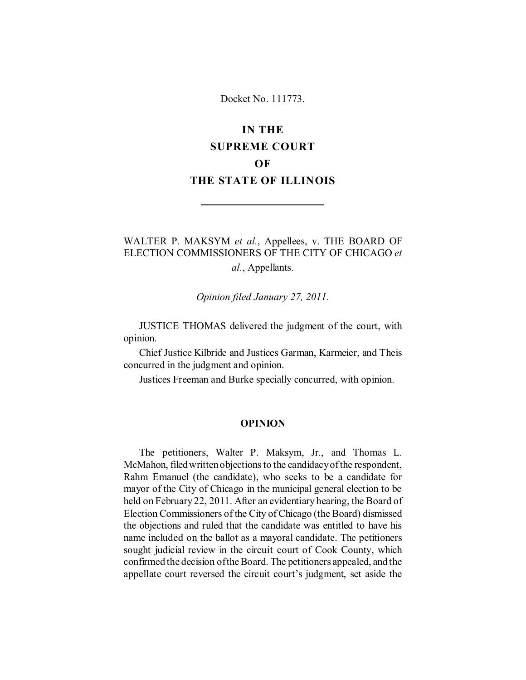## Docket No. 111773.

# **IN THE SUPREME COURT OF THE STATE OF ILLINOIS**

# WALTER P. MAKSYM *et al.*, Appellees, v. THE BOARD OF ELECTION COMMISSIONERS OF THE CITY OF CHICAGO *et*

*al.*, Appellants.

*Opinion filed January 27, 2011.*

JUSTICE THOMAS delivered the judgment of the court, with opinion.

Chief Justice Kilbride and Justices Garman, Karmeier, and Theis concurred in the judgment and opinion.

Justices Freeman and Burke specially concurred, with opinion.

#### **OPINION**

The petitioners, Walter P. Maksym, Jr., and Thomas L. McMahon, filed written objections to the candidacy of the respondent, Rahm Emanuel (the candidate), who seeks to be a candidate for mayor of the City of Chicago in the municipal general election to be held on February 22, 2011. After an evidentiary hearing, the Board of Election Commissioners of the City of Chicago (the Board) dismissed the objections and ruled that the candidate was entitled to have his name included on the ballot as a mayoral candidate. The petitioners sought judicial review in the circuit court of Cook County, which confirmed the decision of the Board. The petitioners appealed, and the appellate court reversed the circuit court's judgment, set aside the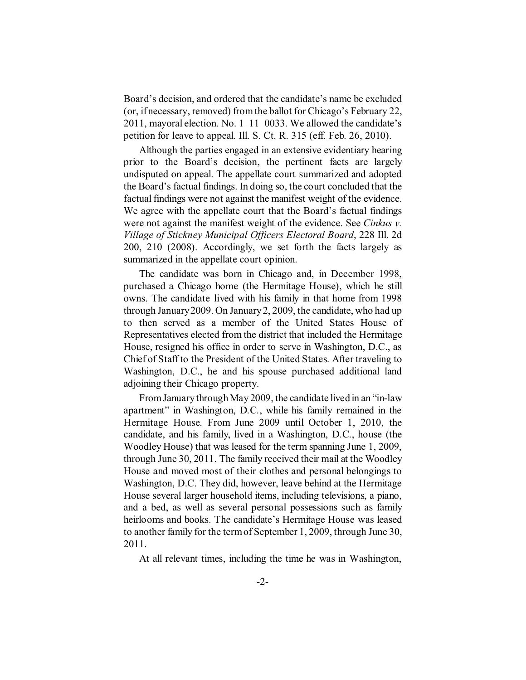Board's decision, and ordered that the candidate's name be excluded (or, if necessary, removed) from the ballot for Chicago's February 22, 2011, mayoral election. No. 1–11–0033. We allowed the candidate's petition for leave to appeal. Ill. S. Ct. R. 315 (eff. Feb. 26, 2010).

Although the parties engaged in an extensive evidentiary hearing prior to the Board's decision, the pertinent facts are largely undisputed on appeal. The appellate court summarized and adopted the Board's factual findings. In doing so, the court concluded that the factual findings were not against the manifest weight of the evidence. We agree with the appellate court that the Board's factual findings were not against the manifest weight of the evidence. See *Cinkus v. Village of Stickney Municipal Officers Electoral Board*, 228 Ill. 2d 200, 210 (2008). Accordingly, we set forth the facts largely as summarized in the appellate court opinion.

The candidate was born in Chicago and, in December 1998, purchased a Chicago home (the Hermitage House), which he still owns. The candidate lived with his family in that home from 1998 through January 2009. On January 2, 2009, the candidate, who had up to then served as a member of the United States House of Representatives elected from the district that included the Hermitage House, resigned his office in order to serve in Washington, D.C., as Chief of Staff to the President of the United States. After traveling to Washington, D.C., he and his spouse purchased additional land adjoining their Chicago property.

From January through May 2009, the candidate lived in an "in-law apartment" in Washington, D.C., while his family remained in the Hermitage House. From June 2009 until October 1, 2010, the candidate, and his family, lived in a Washington, D.C., house (the Woodley House) that was leased for the term spanning June 1, 2009, through June 30, 2011. The family received their mail at the Woodley House and moved most of their clothes and personal belongings to Washington, D.C. They did, however, leave behind at the Hermitage House several larger household items, including televisions, a piano, and a bed, as well as several personal possessions such as family heirlooms and books. The candidate's Hermitage House was leased to another family for the term of September 1, 2009, through June 30, 2011.

At all relevant times, including the time he was in Washington,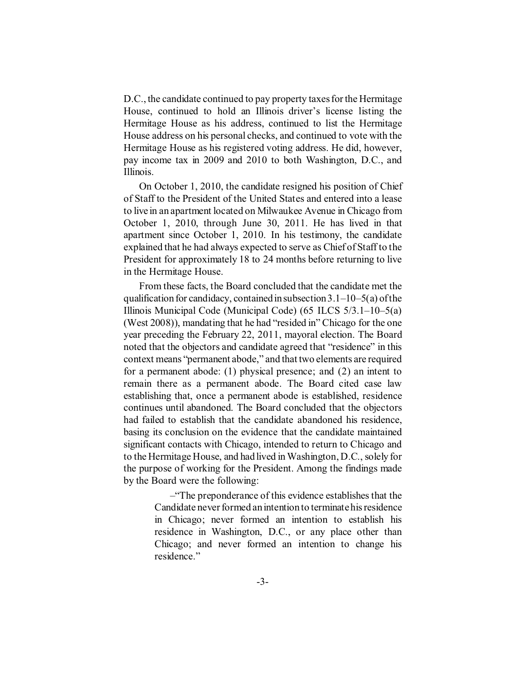D.C., the candidate continued to pay property taxes for the Hermitage House, continued to hold an Illinois driver's license listing the Hermitage House as his address, continued to list the Hermitage House address on his personal checks, and continued to vote with the Hermitage House as his registered voting address. He did, however, pay income tax in 2009 and 2010 to both Washington, D.C., and Illinois.

On October 1, 2010, the candidate resigned his position of Chief of Staff to the President of the United States and entered into a lease to live in an apartment located on Milwaukee Avenue in Chicago from October 1, 2010, through June 30, 2011. He has lived in that apartment since October 1, 2010. In his testimony, the candidate explained that he had always expected to serve as Chief of Staff to the President for approximately 18 to 24 months before returning to live in the Hermitage House.

From these facts, the Board concluded that the candidate met the qualification for candidacy, contained in subsection  $3.1-10-5(a)$  of the Illinois Municipal Code (Municipal Code) (65 ILCS 5/3.1–10–5(a) (West 2008)), mandating that he had "resided in" Chicago for the one year preceding the February 22, 2011, mayoral election. The Board noted that the objectors and candidate agreed that "residence" in this context means "permanent abode," and that two elements are required for a permanent abode: (1) physical presence; and (2) an intent to remain there as a permanent abode. The Board cited case law establishing that, once a permanent abode is established, residence continues until abandoned. The Board concluded that the objectors had failed to establish that the candidate abandoned his residence, basing its conclusion on the evidence that the candidate maintained significant contacts with Chicago, intended to return to Chicago and to the Hermitage House, and had lived in Washington, D.C., solely for the purpose of working for the President. Among the findings made by the Board were the following:

> –"The preponderance of this evidence establishes that the Candidate never formed an intention to terminate his residence in Chicago; never formed an intention to establish his residence in Washington, D.C., or any place other than Chicago; and never formed an intention to change his residence."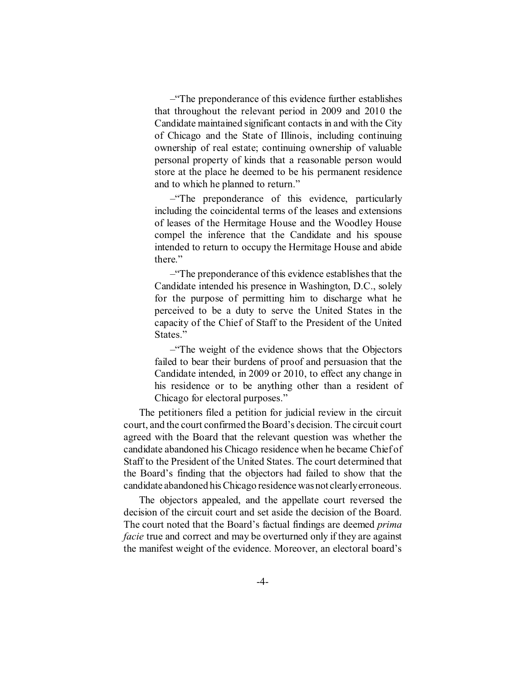–"The preponderance of this evidence further establishes that throughout the relevant period in 2009 and 2010 the Candidate maintained significant contacts in and with the City of Chicago and the State of Illinois, including continuing ownership of real estate; continuing ownership of valuable personal property of kinds that a reasonable person would store at the place he deemed to be his permanent residence and to which he planned to return."

–"The preponderance of this evidence, particularly including the coincidental terms of the leases and extensions of leases of the Hermitage House and the Woodley House compel the inference that the Candidate and his spouse intended to return to occupy the Hermitage House and abide there."

–"The preponderance of this evidence establishes that the Candidate intended his presence in Washington, D.C., solely for the purpose of permitting him to discharge what he perceived to be a duty to serve the United States in the capacity of the Chief of Staff to the President of the United States."

–"The weight of the evidence shows that the Objectors failed to bear their burdens of proof and persuasion that the Candidate intended, in 2009 or 2010, to effect any change in his residence or to be anything other than a resident of Chicago for electoral purposes."

The petitioners filed a petition for judicial review in the circuit court, and the court confirmed the Board's decision. The circuit court agreed with the Board that the relevant question was whether the candidate abandoned his Chicago residence when he became Chief of Staff to the President of the United States. The court determined that the Board's finding that the objectors had failed to show that the candidate abandoned his Chicago residence was not clearly erroneous.

The objectors appealed, and the appellate court reversed the decision of the circuit court and set aside the decision of the Board. The court noted that the Board's factual findings are deemed *prima facie* true and correct and may be overturned only if they are against the manifest weight of the evidence. Moreover, an electoral board's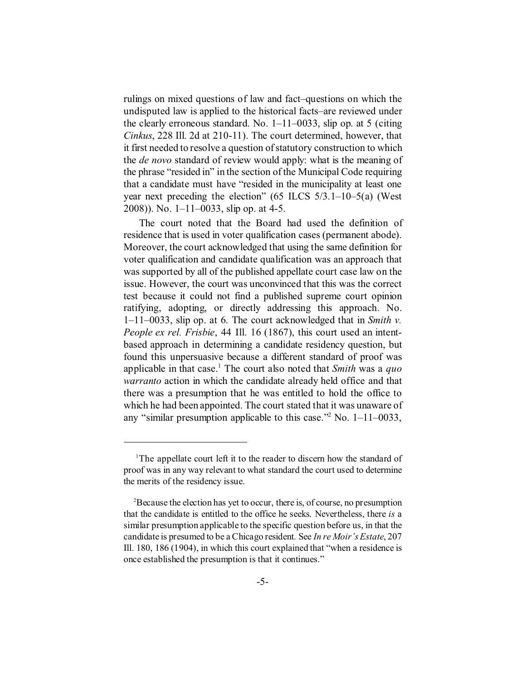rulings on mixed questions of law and fact–questions on which the undisputed law is applied to the historical facts–are reviewed under the clearly erroneous standard. No.  $1-11-0033$ , slip op. at 5 (citing *Cinkus*, 228 Ill. 2d at 210-11). The court determined, however, that it first needed to resolve a question of statutory construction to which the *de novo* standard of review would apply: what is the meaning of the phrase "resided in" in the section of the Municipal Code requiring that a candidate must have "resided in the municipality at least one year next preceding the election" (65 ILCS 5/3.1–10–5(a) (West 2008)). No. 1–11–0033, slip op. at 4-5.

The court noted that the Board had used the definition of residence that is used in voter qualification cases (permanent abode). Moreover, the court acknowledged that using the same definition for voter qualification and candidate qualification was an approach that was supported by all of the published appellate court case law on the issue. However, the court was unconvinced that this was the correct test because it could not find a published supreme court opinion ratifying, adopting, or directly addressing this approach. No. 1–11–0033, slip op. at 6. The court acknowledged that in *Smith v. People ex rel. Frisbie*, 44 Ill. 16 (1867), this court used an intentbased approach in determining a candidate residency question, but found this unpersuasive because a different standard of proof was applicable in that case.<sup>1</sup> The court also noted that *Smith* was a *quo warranto* action in which the candidate already held office and that there was a presumption that he was entitled to hold the office to which he had been appointed. The court stated that it was unaware of any "similar presumption applicable to this case."<sup>2</sup> No. 1–11–0033,

<sup>&</sup>lt;sup>1</sup>The appellate court left it to the reader to discern how the standard of proof was in any way relevant to what standard the court used to determine the merits of the residency issue.

<sup>2</sup>Because the election has yet to occur, there is, of course, no presumption that the candidate is entitled to the office he seeks. Nevertheless, there *is* a similar presumption applicable to the specific question before us, in that the candidate is presumed to be a Chicago resident. See *In re Moir's Estate*, 207 Ill. 180, 186 (1904), in which this court explained that "when a residence is once established the presumption is that it continues."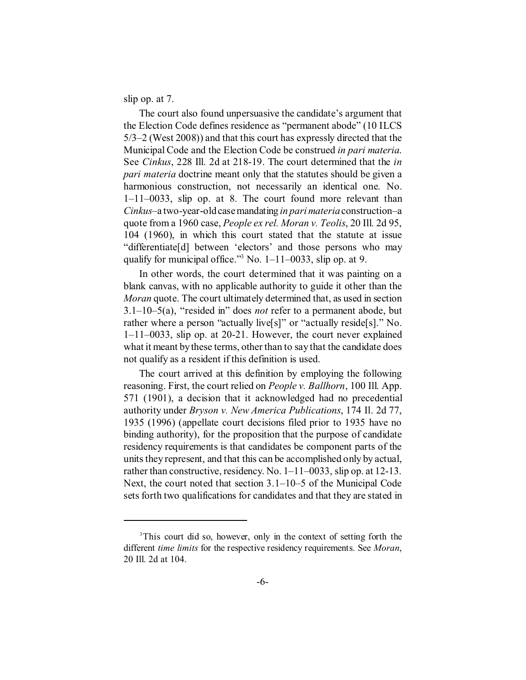slip op. at 7.

The court also found unpersuasive the candidate's argument that the Election Code defines residence as "permanent abode" (10 ILCS 5/3–2 (West 2008)) and that this court has expressly directed that the Municipal Code and the Election Code be construed *in pari materia*. See *Cinkus*, 228 Ill. 2d at 218-19. The court determined that the *in pari materia* doctrine meant only that the statutes should be given a harmonious construction, not necessarily an identical one. No. 1–11–0033, slip op. at 8. The court found more relevant than *Cinkus*–a two-year-old case mandating *in pari materia* construction–a quote from a 1960 case, *People ex rel. Moran v. Teolis*, 20 Ill. 2d 95, 104 (1960), in which this court stated that the statute at issue "differentiate[d] between 'electors' and those persons who may qualify for municipal office."<sup>3</sup> No. 1–11–0033, slip op. at 9.

In other words, the court determined that it was painting on a blank canvas, with no applicable authority to guide it other than the *Moran* quote. The court ultimately determined that, as used in section 3.1–10–5(a), "resided in" does *not* refer to a permanent abode, but rather where a person "actually live[s]" or "actually reside[s]." No. 1–11–0033, slip op. at 20-21. However, the court never explained what it meant by these terms, other than to say that the candidate does not qualify as a resident if this definition is used.

The court arrived at this definition by employing the following reasoning. First, the court relied on *People v. Ballhorn*, 100 Ill. App. 571 (1901), a decision that it acknowledged had no precedential authority under *Bryson v. New America Publications*, 174 Il. 2d 77, 1935 (1996) (appellate court decisions filed prior to 1935 have no binding authority), for the proposition that the purpose of candidate residency requirements is that candidates be component parts of the units they represent, and that this can be accomplished only by actual, rather than constructive, residency. No. 1–11–0033, slip op. at 12-13. Next, the court noted that section 3.1–10–5 of the Municipal Code sets forth two qualifications for candidates and that they are stated in

<sup>&</sup>lt;sup>3</sup>This court did so, however, only in the context of setting forth the different *time limits* for the respective residency requirements. See *Moran*, 20 Ill. 2d at 104.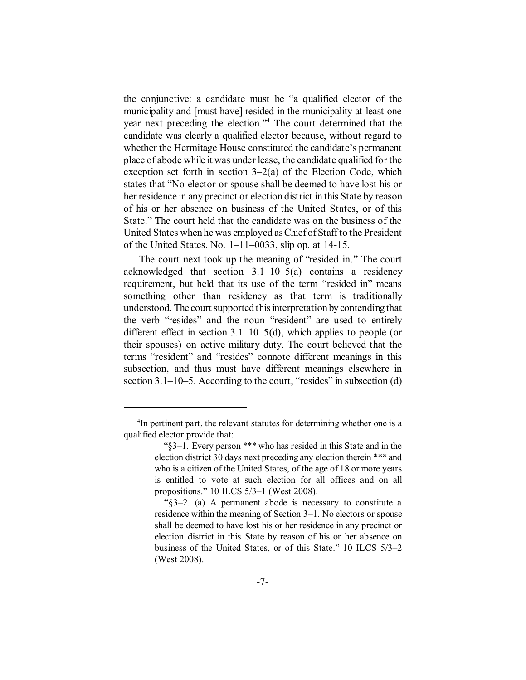the conjunctive: a candidate must be "a qualified elector of the municipality and [must have] resided in the municipality at least one year next preceding the election."<sup>4</sup> The court determined that the candidate was clearly a qualified elector because, without regard to whether the Hermitage House constituted the candidate's permanent place of abode while it was under lease, the candidate qualified for the exception set forth in section  $3-2(a)$  of the Election Code, which states that "No elector or spouse shall be deemed to have lost his or her residence in any precinct or election district in this State by reason of his or her absence on business of the United States, or of this State." The court held that the candidate was on the business of the United States when he was employed as Chief of Staff to the President of the United States. No.  $1 - 11 - 0033$ , slip op. at 14-15.

The court next took up the meaning of "resided in." The court acknowledged that section  $3.1-10-5$ (a) contains a residency requirement, but held that its use of the term "resided in" means something other than residency as that term is traditionally understood. The court supported this interpretation by contending that the verb "resides" and the noun "resident" are used to entirely different effect in section  $3.1-10-5(d)$ , which applies to people (or their spouses) on active military duty. The court believed that the terms "resident" and "resides" connote different meanings in this subsection, and thus must have different meanings elsewhere in section 3.1–10–5. According to the court, "resides" in subsection (d)

<sup>4</sup> In pertinent part, the relevant statutes for determining whether one is a qualified elector provide that:

 <sup>&</sup>quot;§3–1. Every person \*\*\* who has resided in this State and in the election district 30 days next preceding any election therein \*\*\* and who is a citizen of the United States, of the age of 18 or more years is entitled to vote at such election for all offices and on all propositions." 10 ILCS 5/3–1 (West 2008).

 <sup>&</sup>quot;§3–2. (a) A permanent abode is necessary to constitute a residence within the meaning of Section 3–1. No electors or spouse shall be deemed to have lost his or her residence in any precinct or election district in this State by reason of his or her absence on business of the United States, or of this State." 10 ILCS 5/3–2 (West 2008).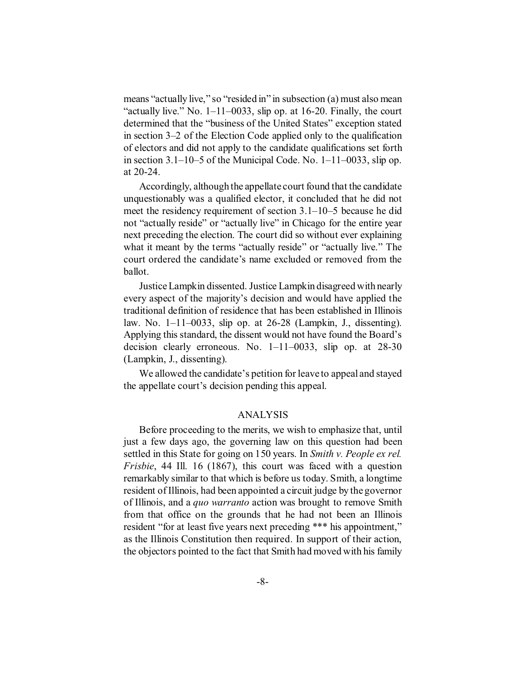means "actually live," so "resided in" in subsection (a) must also mean "actually live." No.  $1-11-0033$ , slip op. at 16-20. Finally, the court determined that the "business of the United States" exception stated in section 3–2 of the Election Code applied only to the qualification of electors and did not apply to the candidate qualifications set forth in section 3.1–10–5 of the Municipal Code. No. 1–11–0033, slip op. at 20-24.

Accordingly, although the appellate court found that the candidate unquestionably was a qualified elector, it concluded that he did not meet the residency requirement of section 3.1–10–5 because he did not "actually reside" or "actually live" in Chicago for the entire year next preceding the election. The court did so without ever explaining what it meant by the terms "actually reside" or "actually live." The court ordered the candidate's name excluded or removed from the ballot.

Justice Lampkin dissented. Justice Lampkin disagreed with nearly every aspect of the majority's decision and would have applied the traditional definition of residence that has been established in Illinois law. No. 1–11–0033, slip op. at 26-28 (Lampkin, J., dissenting). Applying this standard, the dissent would not have found the Board's decision clearly erroneous. No. 1–11–0033, slip op. at 28-30 (Lampkin, J., dissenting).

We allowed the candidate's petition for leave to appeal and stayed the appellate court's decision pending this appeal.

### ANALYSIS

Before proceeding to the merits, we wish to emphasize that, until just a few days ago, the governing law on this question had been settled in this State for going on 150 years. In *Smith v. People ex rel. Frisbie*, 44 Ill. 16 (1867), this court was faced with a question remarkably similar to that which is before us today. Smith, a longtime resident of Illinois, had been appointed a circuit judge by the governor of Illinois, and a *quo warranto* action was brought to remove Smith from that office on the grounds that he had not been an Illinois resident "for at least five years next preceding \*\*\* his appointment," as the Illinois Constitution then required. In support of their action, the objectors pointed to the fact that Smith had moved with his family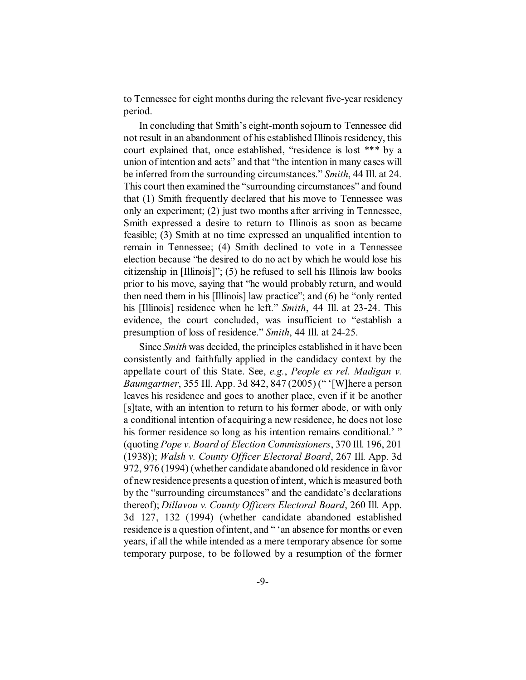to Tennessee for eight months during the relevant five-year residency period.

In concluding that Smith's eight-month sojourn to Tennessee did not result in an abandonment of his established Illinois residency, this court explained that, once established, "residence is lost \*\*\* by a union of intention and acts" and that "the intention in many cases will be inferred from the surrounding circumstances." *Smith*, 44 Ill. at 24. This court then examined the "surrounding circumstances" and found that (1) Smith frequently declared that his move to Tennessee was only an experiment; (2) just two months after arriving in Tennessee, Smith expressed a desire to return to Illinois as soon as became feasible; (3) Smith at no time expressed an unqualified intention to remain in Tennessee; (4) Smith declined to vote in a Tennessee election because "he desired to do no act by which he would lose his citizenship in [Illinois]"; (5) he refused to sell his Illinois law books prior to his move, saying that "he would probably return, and would then need them in his [Illinois] law practice"; and (6) he "only rented his [Illinois] residence when he left." *Smith*, 44 Ill. at 23-24. This evidence, the court concluded, was insufficient to "establish a presumption of loss of residence." *Smith*, 44 Ill. at 24-25.

Since *Smith* was decided, the principles established in it have been consistently and faithfully applied in the candidacy context by the appellate court of this State. See, *e.g.*, *People ex rel. Madigan v. Baumgartner*, 355 Ill. App. 3d 842, 847 (2005) (" '[W]here a person leaves his residence and goes to another place, even if it be another [s]tate, with an intention to return to his former abode, or with only a conditional intention of acquiring a new residence, he does not lose his former residence so long as his intention remains conditional.' " (quoting *Pope v. Board of Election Commissioners*, 370 Ill. 196, 201 (1938)); *Walsh v. County Officer Electoral Board*, 267 Ill. App. 3d 972, 976 (1994) (whether candidate abandoned old residence in favor of new residence presents a question of intent, which is measured both by the "surrounding circumstances" and the candidate's declarations thereof); *Dillavou v. County Officers Electoral Board*, 260 Ill. App. 3d 127, 132 (1994) (whether candidate abandoned established residence is a question of intent, and "'an absence for months or even years, if all the while intended as a mere temporary absence for some temporary purpose, to be followed by a resumption of the former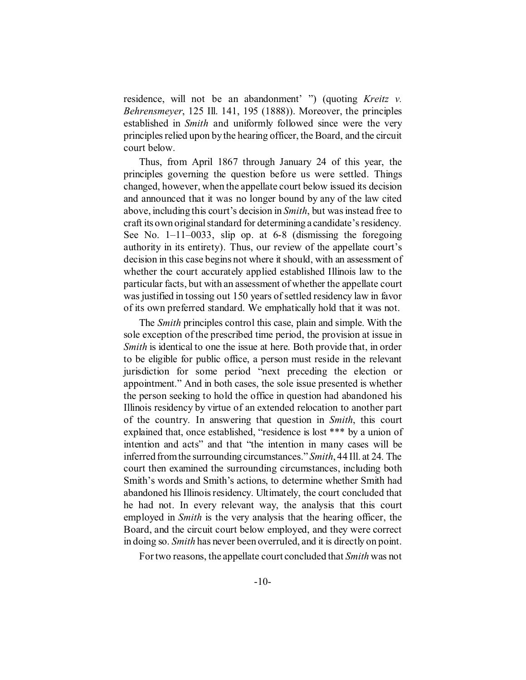residence, will not be an abandonment' ") (quoting *Kreitz v. Behrensmeyer*, 125 Ill. 141, 195 (1888)). Moreover, the principles established in *Smith* and uniformly followed since were the very principles relied upon by the hearing officer, the Board, and the circuit court below.

Thus, from April 1867 through January 24 of this year, the principles governing the question before us were settled. Things changed, however, when the appellate court below issued its decision and announced that it was no longer bound by any of the law cited above, including this court's decision in *Smith*, but was instead free to craft its own original standard for determining a candidate's residency. See No. 1–11–0033, slip op. at 6-8 (dismissing the foregoing authority in its entirety). Thus, our review of the appellate court's decision in this case begins not where it should, with an assessment of whether the court accurately applied established Illinois law to the particular facts, but with an assessment of whether the appellate court was justified in tossing out 150 years of settled residency law in favor of its own preferred standard. We emphatically hold that it was not.

The *Smith* principles control this case, plain and simple. With the sole exception of the prescribed time period, the provision at issue in *Smith* is identical to one the issue at here. Both provide that, in order to be eligible for public office, a person must reside in the relevant jurisdiction for some period "next preceding the election or appointment." And in both cases, the sole issue presented is whether the person seeking to hold the office in question had abandoned his Illinois residency by virtue of an extended relocation to another part of the country. In answering that question in *Smith*, this court explained that, once established, "residence is lost \*\*\* by a union of intention and acts" and that "the intention in many cases will be inferred from the surrounding circumstances." *Smith*, 44 Ill. at 24. The court then examined the surrounding circumstances, including both Smith's words and Smith's actions, to determine whether Smith had abandoned his Illinois residency. Ultimately, the court concluded that he had not. In every relevant way, the analysis that this court employed in *Smith* is the very analysis that the hearing officer, the Board, and the circuit court below employed, and they were correct in doing so. *Smith* has never been overruled, and it is directly on point.

For two reasons, the appellate court concluded that *Smith* was not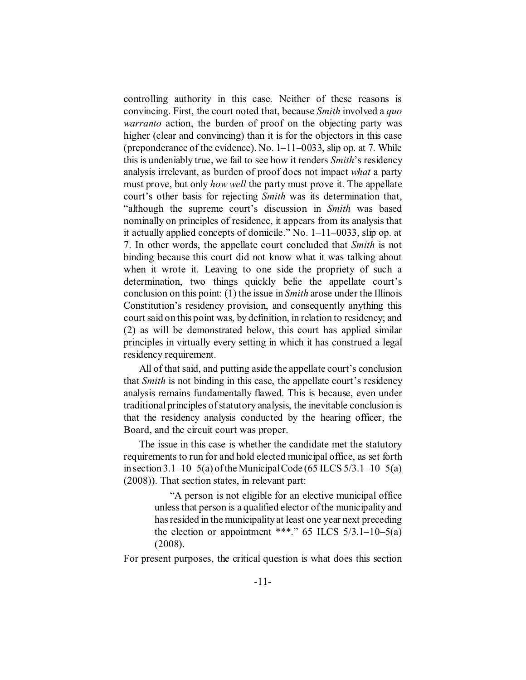controlling authority in this case. Neither of these reasons is convincing. First, the court noted that, because *Smith* involved a *quo warranto* action, the burden of proof on the objecting party was higher (clear and convincing) than it is for the objectors in this case (preponderance of the evidence). No.  $1-11-0033$ , slip op. at 7. While this is undeniably true, we fail to see how it renders *Smith*'s residency analysis irrelevant, as burden of proof does not impact *what* a party must prove, but only *how well* the party must prove it. The appellate court's other basis for rejecting *Smith* was its determination that, "although the supreme court's discussion in *Smith* was based nominally on principles of residence, it appears from its analysis that it actually applied concepts of domicile." No. 1–11–0033, slip op. at 7. In other words, the appellate court concluded that *Smith* is not binding because this court did not know what it was talking about when it wrote it. Leaving to one side the propriety of such a determination, two things quickly belie the appellate court's conclusion on this point: (1) the issue in *Smith* arose under the Illinois Constitution's residency provision, and consequently anything this court said on this point was, by definition, in relation to residency; and (2) as will be demonstrated below, this court has applied similar principles in virtually every setting in which it has construed a legal residency requirement.

All of that said, and putting aside the appellate court's conclusion that *Smith* is not binding in this case, the appellate court's residency analysis remains fundamentally flawed. This is because, even under traditional principles of statutory analysis, the inevitable conclusion is that the residency analysis conducted by the hearing officer, the Board, and the circuit court was proper.

The issue in this case is whether the candidate met the statutory requirements to run for and hold elected municipal office, as set forth in section  $3.1-10-5(a)$  of the Municipal Code (65 ILCS  $5/3.1-10-5(a)$ ) (2008)). That section states, in relevant part:

> "A person is not eligible for an elective municipal office unless that person is a qualified elector of the municipality and has resided in the municipality at least one year next preceding the election or appointment \*\*\*." 65 ILCS  $5/3.1-10-5(a)$ (2008).

For present purposes, the critical question is what does this section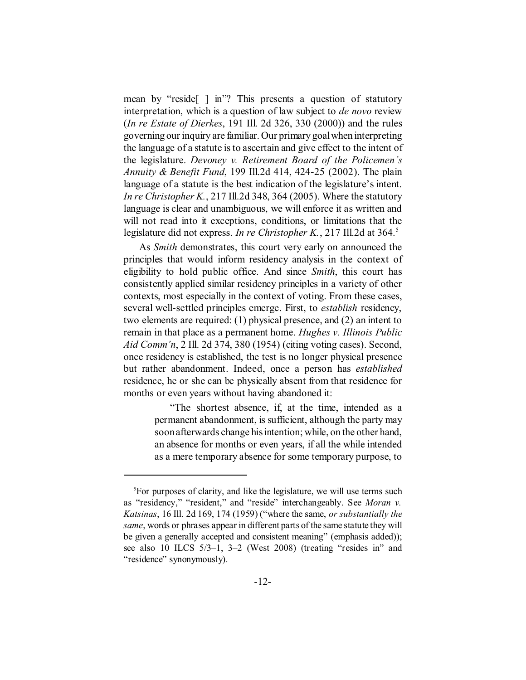mean by "reside[ ] in"? This presents a question of statutory interpretation, which is a question of law subject to *de novo* review (*In re Estate of Dierkes*, 191 Ill. 2d 326, 330 (2000)) and the rules governing our inquiry are familiar. Our primary goal when interpreting the language of a statute is to ascertain and give effect to the intent of the legislature. *Devoney v. Retirement Board of the Policemen's Annuity & Benefit Fund*, 199 Ill.2d 414, 424-25 (2002). The plain language of a statute is the best indication of the legislature's intent. *In re Christopher K.*, 217 Ill.2d 348, 364 (2005). Where the statutory language is clear and unambiguous, we will enforce it as written and will not read into it exceptions, conditions, or limitations that the legislature did not express. *In re Christopher K.*, 217 Ill.2d at 364.<sup>5</sup>

As *Smith* demonstrates, this court very early on announced the principles that would inform residency analysis in the context of eligibility to hold public office. And since *Smith*, this court has consistently applied similar residency principles in a variety of other contexts, most especially in the context of voting. From these cases, several well-settled principles emerge. First, to *establish* residency, two elements are required: (1) physical presence, and (2) an intent to remain in that place as a permanent home. *Hughes v. Illinois Public Aid Comm'n*, 2 Ill. 2d 374, 380 (1954) (citing voting cases). Second, once residency is established, the test is no longer physical presence but rather abandonment. Indeed, once a person has *established* residence, he or she can be physically absent from that residence for months or even years without having abandoned it:

> "The shortest absence, if, at the time, intended as a permanent abandonment, is sufficient, although the party may soon afterwards change his intention; while, on the other hand, an absence for months or even years, if all the while intended as a mere temporary absence for some temporary purpose, to

<sup>&</sup>lt;sup>5</sup>For purposes of clarity, and like the legislature, we will use terms such as "residency," "resident," and "reside" interchangeably. See *Moran v. Katsinas*, 16 Ill. 2d 169, 174 (1959) ("where the same, *or substantially the same*, words or phrases appear in different parts of the same statute they will be given a generally accepted and consistent meaning" (emphasis added)); see also 10 ILCS 5/3–1, 3–2 (West 2008) (treating "resides in" and "residence" synonymously).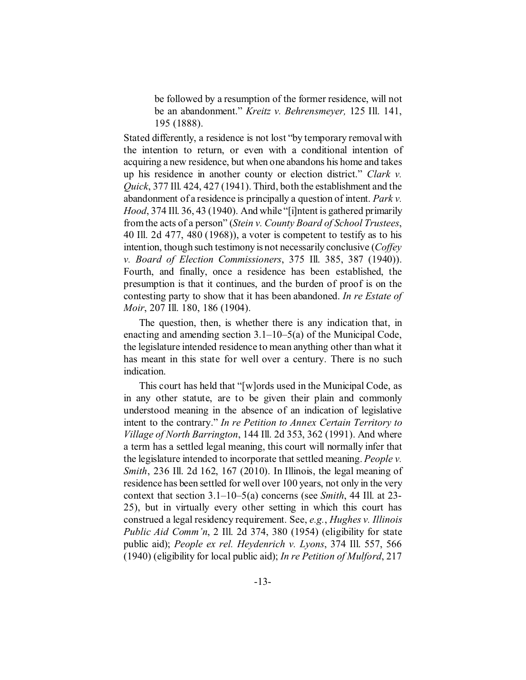be followed by a resumption of the former residence, will not be an abandonment." *Kreitz v. Behrensmeyer,* 125 Ill. 141, 195 (1888).

Stated differently, a residence is not lost "by temporary removal with the intention to return, or even with a conditional intention of acquiring a new residence, but when one abandons his home and takes up his residence in another county or election district." *Clark v. Quick*, 377 Ill. 424, 427 (1941). Third, both the establishment and the abandonment of a residence is principally a question of intent. *Park v. Hood*, 374 Ill. 36, 43 (1940). And while "[i]ntent is gathered primarily from the acts of a person" (*Stein v. County Board of School Trustees*, 40 Ill. 2d 477, 480 (1968)), a voter is competent to testify as to his intention, though such testimony is not necessarily conclusive (*Coffey v. Board of Election Commissioners*, 375 Ill. 385, 387 (1940)). Fourth, and finally, once a residence has been established, the presumption is that it continues, and the burden of proof is on the contesting party to show that it has been abandoned. *In re Estate of Moir*, 207 Ill. 180, 186 (1904).

The question, then, is whether there is any indication that, in enacting and amending section 3.1–10–5(a) of the Municipal Code, the legislature intended residence to mean anything other than what it has meant in this state for well over a century. There is no such indication.

This court has held that "[w]ords used in the Municipal Code, as in any other statute, are to be given their plain and commonly understood meaning in the absence of an indication of legislative intent to the contrary." *In re Petition to Annex Certain Territory to Village of North Barrington*, 144 Ill. 2d 353, 362 (1991). And where a term has a settled legal meaning, this court will normally infer that the legislature intended to incorporate that settled meaning. *People v. Smith*, 236 Ill. 2d 162, 167 (2010). In Illinois, the legal meaning of residence has been settled for well over 100 years, not only in the very context that section 3.1–10–5(a) concerns (see *Smith*, 44 Ill. at 23- 25), but in virtually every other setting in which this court has construed a legal residency requirement. See, *e.g.*, *Hughes v. Illinois Public Aid Comm'n*, 2 Ill. 2d 374, 380 (1954) (eligibility for state public aid); *People ex rel. Heydenrich v. Lyons*, 374 Ill. 557, 566 (1940) (eligibility for local public aid); *In re Petition of Mulford*, 217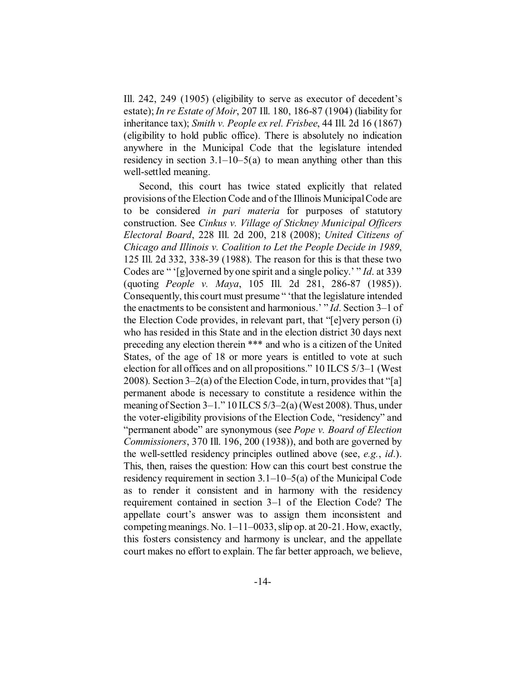Ill. 242, 249 (1905) (eligibility to serve as executor of decedent's estate);*In re Estate of Moir*, 207 Ill. 180, 186-87 (1904) (liability for inheritance tax); *Smith v. People ex rel. Frisbee*, 44 Ill. 2d 16 (1867) (eligibility to hold public office). There is absolutely no indication anywhere in the Municipal Code that the legislature intended residency in section  $3.1-10-5(a)$  to mean anything other than this well-settled meaning.

Second, this court has twice stated explicitly that related provisions of the Election Code and of the Illinois Municipal Code are to be considered *in pari materia* for purposes of statutory construction. See *Cinkus v. Village of Stickney Municipal Officers Electoral Board*, 228 Ill. 2d 200, 218 (2008); *United Citizens of Chicago and Illinois v. Coalition to Let the People Decide in 1989*, 125 Ill. 2d 332, 338-39 (1988). The reason for this is that these two Codes are " '[g]overned by one spirit and a single policy.' " *Id*. at 339 (quoting *People v. Maya*, 105 Ill. 2d 281, 286-87 (1985)). Consequently, this court must presume " 'that the legislature intended the enactments to be consistent and harmonious.' " *Id*. Section 3–1 of the Election Code provides, in relevant part, that "[e]very person (i) who has resided in this State and in the election district 30 days next preceding any election therein \*\*\* and who is a citizen of the United States, of the age of 18 or more years is entitled to vote at such election for all offices and on all propositions." 10 ILCS 5/3–1 (West 2008). Section 3–2(a) of the Election Code, in turn, provides that "[a] permanent abode is necessary to constitute a residence within the meaning of Section 3–1." 10 ILCS 5/3–2(a) (West 2008). Thus, under the voter-eligibility provisions of the Election Code, "residency" and "permanent abode" are synonymous (see *Pope v. Board of Election Commissioners*, 370 Ill. 196, 200 (1938)), and both are governed by the well-settled residency principles outlined above (see, *e.g.*, *id*.). This, then, raises the question: How can this court best construe the residency requirement in section 3.1–10–5(a) of the Municipal Code as to render it consistent and in harmony with the residency requirement contained in section 3–1 of the Election Code? The appellate court's answer was to assign them inconsistent and competing meanings. No. 1–11–0033, slip op. at 20-21. How, exactly, this fosters consistency and harmony is unclear, and the appellate court makes no effort to explain. The far better approach, we believe,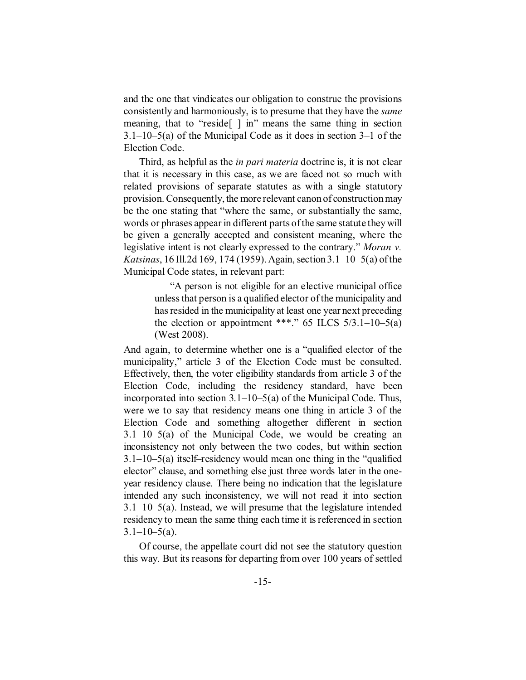and the one that vindicates our obligation to construe the provisions consistently and harmoniously, is to presume that they have the *same* meaning, that to "reside[ ] in" means the same thing in section 3.1–10–5(a) of the Municipal Code as it does in section 3–1 of the Election Code.

Third, as helpful as the *in pari materia* doctrine is, it is not clear that it is necessary in this case, as we are faced not so much with related provisions of separate statutes as with a single statutory provision. Consequently, the more relevant canon of construction may be the one stating that "where the same, or substantially the same, words or phrases appear in different parts of the same statute they will be given a generally accepted and consistent meaning, where the legislative intent is not clearly expressed to the contrary." *Moran v. Katsinas*, 16 Ill.2d 169, 174 (1959). Again, section 3.1–10–5(a) of the Municipal Code states, in relevant part:

> "A person is not eligible for an elective municipal office unless that person is a qualified elector of the municipality and has resided in the municipality at least one year next preceding the election or appointment \*\*\*." 65 ILCS  $5/3.1-10-5(a)$ (West 2008).

And again, to determine whether one is a "qualified elector of the municipality," article 3 of the Election Code must be consulted. Effectively, then, the voter eligibility standards from article 3 of the Election Code, including the residency standard, have been incorporated into section 3.1–10–5(a) of the Municipal Code. Thus, were we to say that residency means one thing in article 3 of the Election Code and something altogether different in section 3.1–10–5(a) of the Municipal Code, we would be creating an inconsistency not only between the two codes, but within section 3.1–10–5(a) itself–residency would mean one thing in the "qualified elector" clause, and something else just three words later in the oneyear residency clause. There being no indication that the legislature intended any such inconsistency, we will not read it into section 3.1–10–5(a). Instead, we will presume that the legislature intended residency to mean the same thing each time it is referenced in section  $3.1 - 10 - 5(a)$ .

Of course, the appellate court did not see the statutory question this way. But its reasons for departing from over 100 years of settled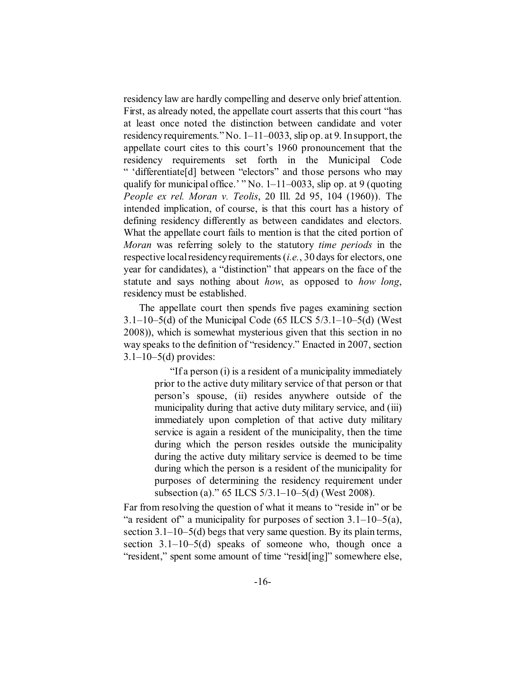residency law are hardly compelling and deserve only brief attention. First, as already noted, the appellate court asserts that this court "has at least once noted the distinction between candidate and voter residency requirements." No. 1–11–0033, slip op. at 9. In support, the appellate court cites to this court's 1960 pronouncement that the residency requirements set forth in the Municipal Code " 'differentiate[d] between "electors" and those persons who may qualify for municipal office.' " No. 1–11–0033, slip op. at 9 (quoting *People ex rel. Moran v. Teolis*, 20 Ill. 2d 95, 104 (1960)). The intended implication, of course, is that this court has a history of defining residency differently as between candidates and electors. What the appellate court fails to mention is that the cited portion of *Moran* was referring solely to the statutory *time periods* in the respective local residency requirements (*i.e.*, 30 days for electors, one year for candidates), a "distinction" that appears on the face of the statute and says nothing about *how*, as opposed to *how long*, residency must be established.

The appellate court then spends five pages examining section 3.1–10–5(d) of the Municipal Code (65 ILCS  $5/3.1-10-5$ (d) (West 2008)), which is somewhat mysterious given that this section in no way speaks to the definition of "residency." Enacted in 2007, section  $3.1 - 10 - 5(d)$  provides:

> "If a person (i) is a resident of a municipality immediately prior to the active duty military service of that person or that person's spouse, (ii) resides anywhere outside of the municipality during that active duty military service, and (iii) immediately upon completion of that active duty military service is again a resident of the municipality, then the time during which the person resides outside the municipality during the active duty military service is deemed to be time during which the person is a resident of the municipality for purposes of determining the residency requirement under subsection (a)." 65 ILCS 5/3.1–10–5(d) (West 2008).

Far from resolving the question of what it means to "reside in" or be "a resident of" a municipality for purposes of section  $3.1-10-5(a)$ , section 3.1–10–5(d) begs that very same question. By its plain terms, section 3.1–10–5(d) speaks of someone who, though once a "resident," spent some amount of time "resid[ing]" somewhere else,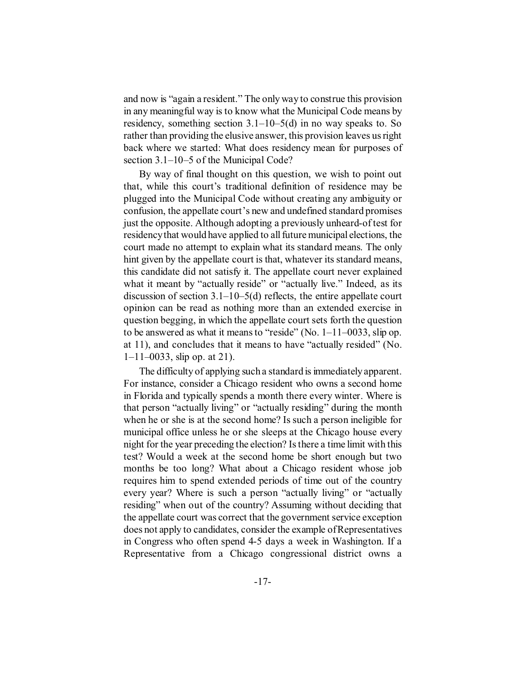and now is "again a resident." The only way to construe this provision in any meaningful way is to know what the Municipal Code means by residency, something section  $3.1-10-5(d)$  in no way speaks to. So rather than providing the elusive answer, this provision leaves us right back where we started: What does residency mean for purposes of section 3.1–10–5 of the Municipal Code?

By way of final thought on this question, we wish to point out that, while this court's traditional definition of residence may be plugged into the Municipal Code without creating any ambiguity or confusion, the appellate court's new and undefined standard promises just the opposite. Although adopting a previously unheard-of test for residency that would have applied to all future municipal elections, the court made no attempt to explain what its standard means. The only hint given by the appellate court is that, whatever its standard means, this candidate did not satisfy it. The appellate court never explained what it meant by "actually reside" or "actually live." Indeed, as its discussion of section  $3.1-10-5(d)$  reflects, the entire appellate court opinion can be read as nothing more than an extended exercise in question begging, in which the appellate court sets forth the question to be answered as what it means to "reside" (No. 1–11–0033, slip op. at 11), and concludes that it means to have "actually resided" (No.  $1-11-0033$ , slip op. at 21).

The difficulty of applying such a standard is immediately apparent. For instance, consider a Chicago resident who owns a second home in Florida and typically spends a month there every winter. Where is that person "actually living" or "actually residing" during the month when he or she is at the second home? Is such a person ineligible for municipal office unless he or she sleeps at the Chicago house every night for the year preceding the election? Is there a time limit with this test? Would a week at the second home be short enough but two months be too long? What about a Chicago resident whose job requires him to spend extended periods of time out of the country every year? Where is such a person "actually living" or "actually residing" when out of the country? Assuming without deciding that the appellate court was correct that the government service exception does not apply to candidates, consider the example of Representatives in Congress who often spend 4-5 days a week in Washington. If a Representative from a Chicago congressional district owns a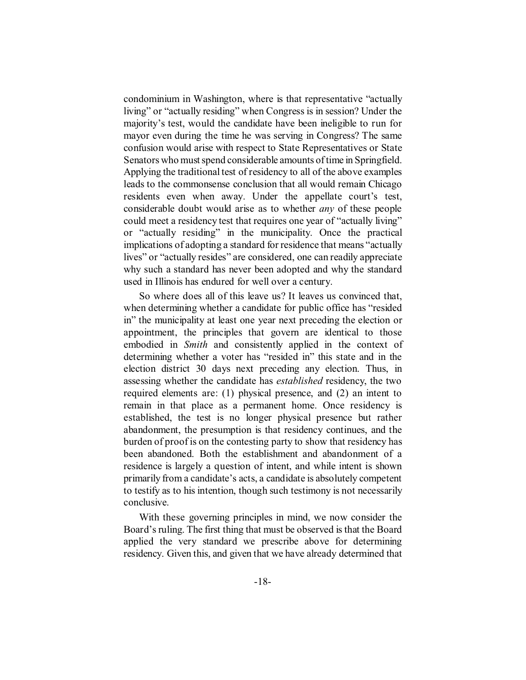condominium in Washington, where is that representative "actually living" or "actually residing" when Congress is in session? Under the majority's test, would the candidate have been ineligible to run for mayor even during the time he was serving in Congress? The same confusion would arise with respect to State Representatives or State Senators who must spend considerable amounts of time in Springfield. Applying the traditional test of residency to all of the above examples leads to the commonsense conclusion that all would remain Chicago residents even when away. Under the appellate court's test, considerable doubt would arise as to whether *any* of these people could meet a residency test that requires one year of "actually living" or "actually residing" in the municipality. Once the practical implications of adopting a standard for residence that means "actually lives" or "actually resides" are considered, one can readily appreciate why such a standard has never been adopted and why the standard used in Illinois has endured for well over a century.

So where does all of this leave us? It leaves us convinced that, when determining whether a candidate for public office has "resided in" the municipality at least one year next preceding the election or appointment, the principles that govern are identical to those embodied in *Smith* and consistently applied in the context of determining whether a voter has "resided in" this state and in the election district 30 days next preceding any election. Thus, in assessing whether the candidate has *established* residency, the two required elements are: (1) physical presence, and (2) an intent to remain in that place as a permanent home. Once residency is established, the test is no longer physical presence but rather abandonment, the presumption is that residency continues, and the burden of proof is on the contesting party to show that residency has been abandoned. Both the establishment and abandonment of a residence is largely a question of intent, and while intent is shown primarily from a candidate's acts, a candidate is absolutely competent to testify as to his intention, though such testimony is not necessarily conclusive.

With these governing principles in mind, we now consider the Board's ruling. The first thing that must be observed is that the Board applied the very standard we prescribe above for determining residency. Given this, and given that we have already determined that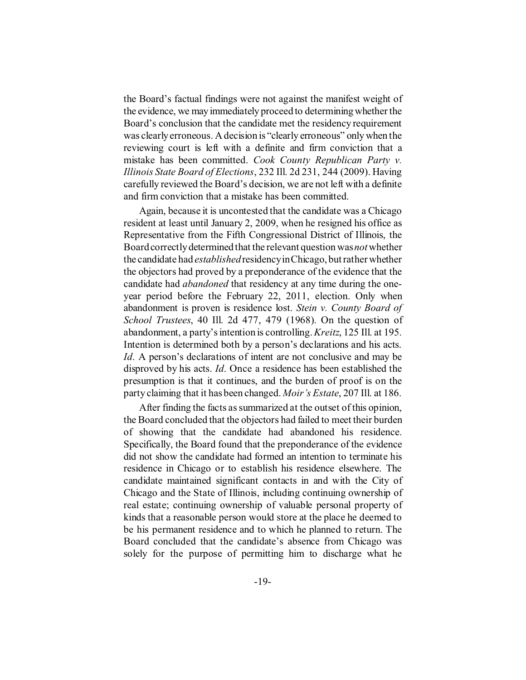the Board's factual findings were not against the manifest weight of the evidence, we may immediately proceed to determining whether the Board's conclusion that the candidate met the residency requirement was clearly erroneous. A decision is "clearly erroneous" only when the reviewing court is left with a definite and firm conviction that a mistake has been committed. *Cook County Republican Party v. Illinois State Board of Elections*, 232 Ill. 2d 231, 244 (2009). Having carefully reviewed the Board's decision, we are not left with a definite and firm conviction that a mistake has been committed.

Again, because it is uncontested that the candidate was a Chicago resident at least until January 2, 2009, when he resigned his office as Representative from the Fifth Congressional District of Illinois, the Board correctly determined that the relevant question was*not* whether the candidate had *established* residency in Chicago, but rather whether the objectors had proved by a preponderance of the evidence that the candidate had *abandoned* that residency at any time during the oneyear period before the February 22, 2011, election. Only when abandonment is proven is residence lost. *Stein v. County Board of School Trustees*, 40 Ill. 2d 477, 479 (1968). On the question of abandonment, a party's intention is controlling. *Kreitz*, 125 Ill. at 195. Intention is determined both by a person's declarations and his acts. *Id*. A person's declarations of intent are not conclusive and may be disproved by his acts. *Id*. Once a residence has been established the presumption is that it continues, and the burden of proof is on the party claiming that it has been changed. *Moir's Estate*, 207 Ill. at 186.

After finding the facts as summarized at the outset of this opinion, the Board concluded that the objectors had failed to meet their burden of showing that the candidate had abandoned his residence. Specifically, the Board found that the preponderance of the evidence did not show the candidate had formed an intention to terminate his residence in Chicago or to establish his residence elsewhere. The candidate maintained significant contacts in and with the City of Chicago and the State of Illinois, including continuing ownership of real estate; continuing ownership of valuable personal property of kinds that a reasonable person would store at the place he deemed to be his permanent residence and to which he planned to return. The Board concluded that the candidate's absence from Chicago was solely for the purpose of permitting him to discharge what he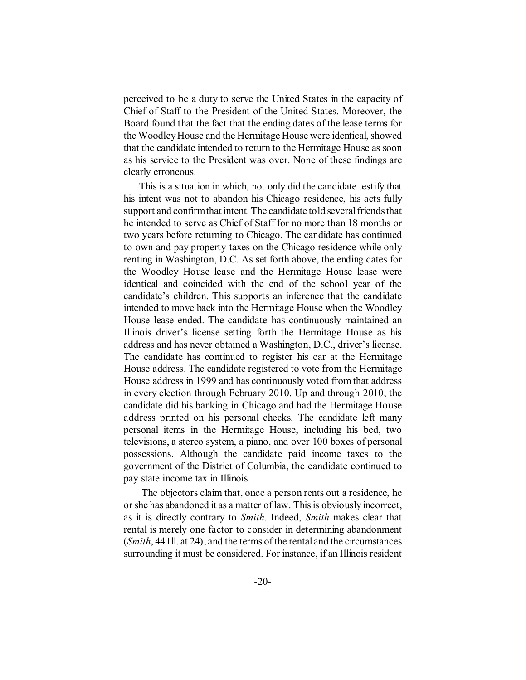perceived to be a duty to serve the United States in the capacity of Chief of Staff to the President of the United States. Moreover, the Board found that the fact that the ending dates of the lease terms for the Woodley House and the Hermitage House were identical, showed that the candidate intended to return to the Hermitage House as soon as his service to the President was over. None of these findings are clearly erroneous.

This is a situation in which, not only did the candidate testify that his intent was not to abandon his Chicago residence, his acts fully support and confirm that intent. The candidate told several friends that he intended to serve as Chief of Staff for no more than 18 months or two years before returning to Chicago. The candidate has continued to own and pay property taxes on the Chicago residence while only renting in Washington, D.C. As set forth above, the ending dates for the Woodley House lease and the Hermitage House lease were identical and coincided with the end of the school year of the candidate's children. This supports an inference that the candidate intended to move back into the Hermitage House when the Woodley House lease ended. The candidate has continuously maintained an Illinois driver's license setting forth the Hermitage House as his address and has never obtained a Washington, D.C., driver's license. The candidate has continued to register his car at the Hermitage House address. The candidate registered to vote from the Hermitage House address in 1999 and has continuously voted from that address in every election through February 2010. Up and through 2010, the candidate did his banking in Chicago and had the Hermitage House address printed on his personal checks. The candidate left many personal items in the Hermitage House, including his bed, two televisions, a stereo system, a piano, and over 100 boxes of personal possessions. Although the candidate paid income taxes to the government of the District of Columbia, the candidate continued to pay state income tax in Illinois.

 The objectors claim that, once a person rents out a residence, he or she has abandoned it as a matter of law. This is obviously incorrect, as it is directly contrary to *Smith*. Indeed, *Smith* makes clear that rental is merely one factor to consider in determining abandonment (*Smith*, 44 Ill. at 24), and the terms of the rental and the circumstances surrounding it must be considered. For instance, if an Illinois resident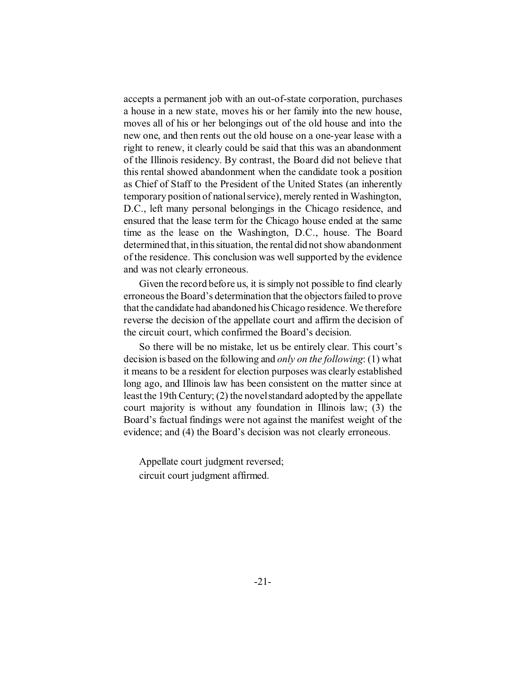accepts a permanent job with an out-of-state corporation, purchases a house in a new state, moves his or her family into the new house, moves all of his or her belongings out of the old house and into the new one, and then rents out the old house on a one-year lease with a right to renew, it clearly could be said that this was an abandonment of the Illinois residency. By contrast, the Board did not believe that this rental showed abandonment when the candidate took a position as Chief of Staff to the President of the United States (an inherently temporary position of national service), merely rented in Washington, D.C., left many personal belongings in the Chicago residence, and ensured that the lease term for the Chicago house ended at the same time as the lease on the Washington, D.C., house. The Board determined that, in this situation, the rental did not show abandonment of the residence. This conclusion was well supported by the evidence and was not clearly erroneous.

Given the record before us, it is simply not possible to find clearly erroneous the Board's determination that the objectors failed to prove that the candidate had abandoned his Chicago residence. We therefore reverse the decision of the appellate court and affirm the decision of the circuit court, which confirmed the Board's decision.

So there will be no mistake, let us be entirely clear. This court's decision is based on the following and *only on the following*: (1) what it means to be a resident for election purposes was clearly established long ago, and Illinois law has been consistent on the matter since at least the 19th Century; (2) the novel standard adopted by the appellate court majority is without any foundation in Illinois law; (3) the Board's factual findings were not against the manifest weight of the evidence; and (4) the Board's decision was not clearly erroneous.

Appellate court judgment reversed; circuit court judgment affirmed.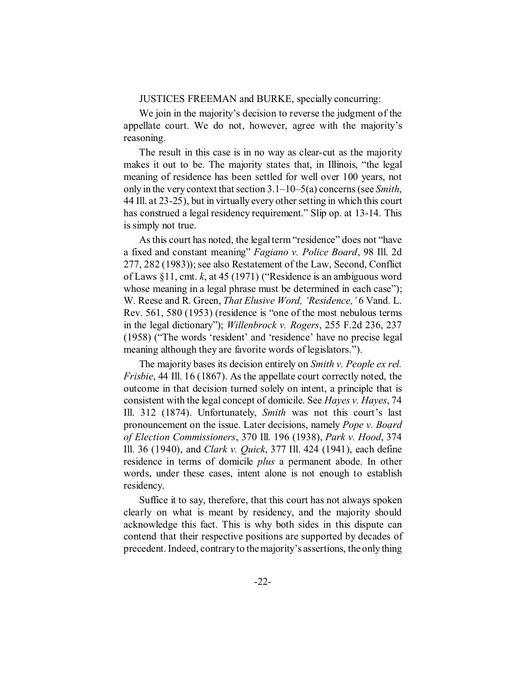#### JUSTICES FREEMAN and BURKE, specially concurring:

We join in the majority's decision to reverse the judgment of the appellate court. We do not, however, agree with the majority's reasoning.

The result in this case is in no way as clear-cut as the majority makes it out to be. The majority states that, in Illinois, "the legal meaning of residence has been settled for well over 100 years, not only in the very context that section 3.1–10–5(a) concerns (see *Smith*, 44 Ill. at 23-25), but in virtually every other setting in which this court has construed a legal residency requirement." Slip op. at 13-14. This is simply not true.

As this court has noted, the legal term "residence" does not "have a fixed and constant meaning" *Fagiano v. Police Board*, 98 Ill. 2d 277, 282 (1983)); see also Restatement of the Law, Second, Conflict of Laws §11, cmt. *k*, at 45 (1971) ("Residence is an ambiguous word whose meaning in a legal phrase must be determined in each case"); W. Reese and R. Green, *That Elusive Word, 'Residence,'* 6 Vand. L. Rev. 561, 580 (1953) (residence is "one of the most nebulous terms in the legal dictionary"); *Willenbrock v. Rogers*, 255 F.2d 236, 237 (1958) ("The words 'resident' and 'residence' have no precise legal meaning although they are favorite words of legislators.").

The majority bases its decision entirely on *Smith v. People ex rel. Frisbie*, 44 Ill. 16 (1867). As the appellate court correctly noted, the outcome in that decision turned solely on intent, a principle that is consistent with the legal concept of domicile. See *Hayes v. Hayes*, 74 Ill. 312 (1874). Unfortunately, *Smith* was not this court's last pronouncement on the issue. Later decisions, namely *Pope v. Board of Election Commissioners*, 370 Ill. 196 (1938), *Park v. Hood*, 374 Ill. 36 (1940), and *Clark v. Quick*, 377 Ill. 424 (1941), each define residence in terms of domicile *plus* a permanent abode. In other words, under these cases, intent alone is not enough to establish residency.

Suffice it to say, therefore, that this court has not always spoken clearly on what is meant by residency, and the majority should acknowledge this fact. This is why both sides in this dispute can contend that their respective positions are supported by decades of precedent. Indeed, contrary to the majority's assertions, the only thing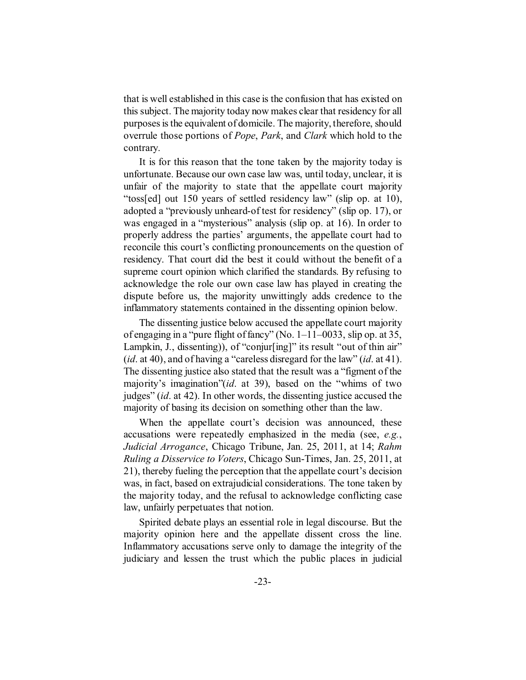that is well established in this case is the confusion that has existed on this subject. The majority today now makes clear that residency for all purposes is the equivalent of domicile. The majority, therefore, should overrule those portions of *Pope*, *Park*, and *Clark* which hold to the contrary.

It is for this reason that the tone taken by the majority today is unfortunate. Because our own case law was, until today, unclear, it is unfair of the majority to state that the appellate court majority "toss[ed] out 150 years of settled residency law" (slip op. at 10), adopted a "previously unheard-of test for residency" (slip op. 17), or was engaged in a "mysterious" analysis (slip op. at 16). In order to properly address the parties' arguments, the appellate court had to reconcile this court's conflicting pronouncements on the question of residency. That court did the best it could without the benefit of a supreme court opinion which clarified the standards. By refusing to acknowledge the role our own case law has played in creating the dispute before us, the majority unwittingly adds credence to the inflammatory statements contained in the dissenting opinion below.

The dissenting justice below accused the appellate court majority of engaging in a "pure flight of fancy" (No. 1–11–0033, slip op. at 35, Lampkin, J., dissenting)), of "conjur[ing]" its result "out of thin air" (*id*. at 40), and of having a "careless disregard for the law" (*id*. at 41). The dissenting justice also stated that the result was a "figment of the majority's imagination"(*id*. at 39), based on the "whims of two judges" (*id*. at 42). In other words, the dissenting justice accused the majority of basing its decision on something other than the law.

When the appellate court's decision was announced, these accusations were repeatedly emphasized in the media (see, *e.g.*, *Judicial Arrogance*, Chicago Tribune, Jan. 25, 2011, at 14; *Rahm Ruling a Disservice to Voters*, Chicago Sun-Times, Jan. 25, 2011, at 21), thereby fueling the perception that the appellate court's decision was, in fact, based on extrajudicial considerations. The tone taken by the majority today, and the refusal to acknowledge conflicting case law, unfairly perpetuates that notion.

Spirited debate plays an essential role in legal discourse. But the majority opinion here and the appellate dissent cross the line. Inflammatory accusations serve only to damage the integrity of the judiciary and lessen the trust which the public places in judicial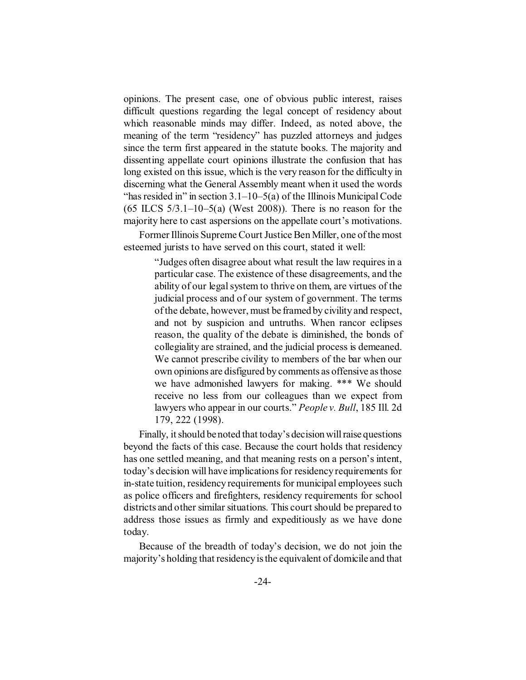opinions. The present case, one of obvious public interest, raises difficult questions regarding the legal concept of residency about which reasonable minds may differ. Indeed, as noted above, the meaning of the term "residency" has puzzled attorneys and judges since the term first appeared in the statute books. The majority and dissenting appellate court opinions illustrate the confusion that has long existed on this issue, which is the very reason for the difficulty in discerning what the General Assembly meant when it used the words "has resided in" in section  $3.1-10-5(a)$  of the Illinois Municipal Code  $(65$  ILCS  $5/3.1-10-5(a)$  (West 2008)). There is no reason for the majority here to cast aspersions on the appellate court's motivations.

Former Illinois Supreme Court Justice Ben Miller, one of the most esteemed jurists to have served on this court, stated it well:

> "Judges often disagree about what result the law requires in a particular case. The existence of these disagreements, and the ability of our legal system to thrive on them, are virtues of the judicial process and of our system of government. The terms of the debate, however, must be framed by civility and respect, and not by suspicion and untruths. When rancor eclipses reason, the quality of the debate is diminished, the bonds of collegiality are strained, and the judicial process is demeaned. We cannot prescribe civility to members of the bar when our own opinions are disfigured by comments as offensive as those we have admonished lawyers for making. \*\*\* We should receive no less from our colleagues than we expect from lawyers who appear in our courts." *People v. Bull*, 185 Ill. 2d 179, 222 (1998).

Finally, it should be noted that today's decision will raise questions beyond the facts of this case. Because the court holds that residency has one settled meaning, and that meaning rests on a person's intent, today's decision will have implications for residency requirements for in-state tuition, residency requirements for municipal employees such as police officers and firefighters, residency requirements for school districts and other similar situations. This court should be prepared to address those issues as firmly and expeditiously as we have done today.

Because of the breadth of today's decision, we do not join the majority's holding that residency is the equivalent of domicile and that